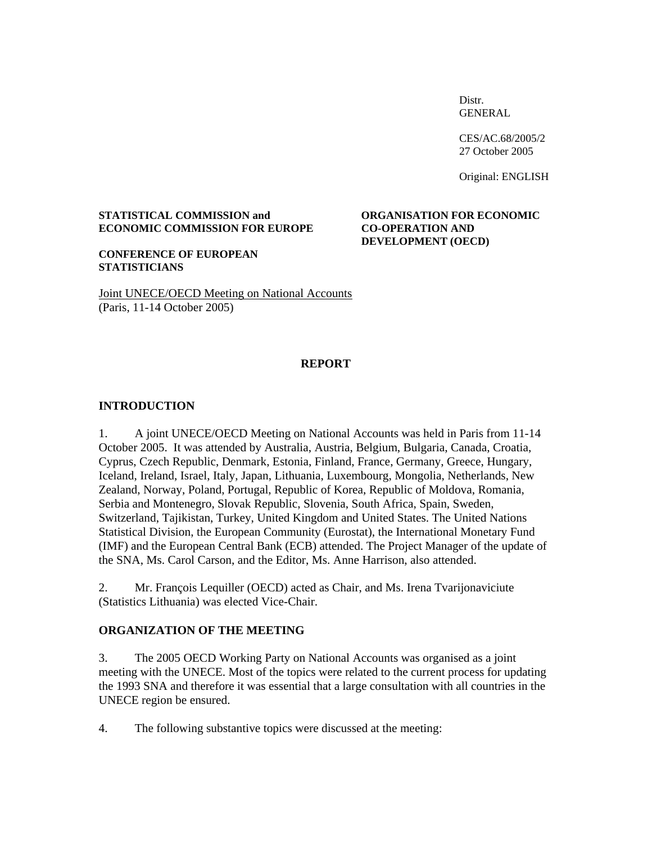Distr. GENERAL

 CES/AC.68/2005/2 27 October 2005

Original: ENGLISH

### **STATISTICAL COMMISSION and ORGANISATION FOR ECONOMIC ECONOMIC COMMISSION FOR EUROPE CO-OPERATION AND**

# **DEVELOPMENT (OECD)**

**CONFERENCE OF EUROPEAN STATISTICIANS** 

Joint UNECE/OECD Meeting on National Accounts (Paris, 11-14 October 2005)

## **REPORT**

#### **INTRODUCTION**

1. A joint UNECE/OECD Meeting on National Accounts was held in Paris from 11-14 October 2005. It was attended by Australia, Austria, Belgium, Bulgaria, Canada, Croatia, Cyprus, Czech Republic, Denmark, Estonia, Finland, France, Germany, Greece, Hungary, Iceland, Ireland, Israel, Italy, Japan, Lithuania, Luxembourg, Mongolia, Netherlands, New Zealand, Norway, Poland, Portugal, Republic of Korea, Republic of Moldova, Romania, Serbia and Montenegro, Slovak Republic, Slovenia, South Africa, Spain, Sweden, Switzerland, Tajikistan, Turkey, United Kingdom and United States. The United Nations Statistical Division, the European Community (Eurostat), the International Monetary Fund (IMF) and the European Central Bank (ECB) attended. The Project Manager of the update of the SNA, Ms. Carol Carson, and the Editor, Ms. Anne Harrison, also attended.

2. Mr. François Lequiller (OECD) acted as Chair, and Ms. Irena Tvarijonaviciute (Statistics Lithuania) was elected Vice-Chair.

#### **ORGANIZATION OF THE MEETING**

3. The 2005 OECD Working Party on National Accounts was organised as a joint meeting with the UNECE. Most of the topics were related to the current process for updating the 1993 SNA and therefore it was essential that a large consultation with all countries in the UNECE region be ensured.

4. The following substantive topics were discussed at the meeting: